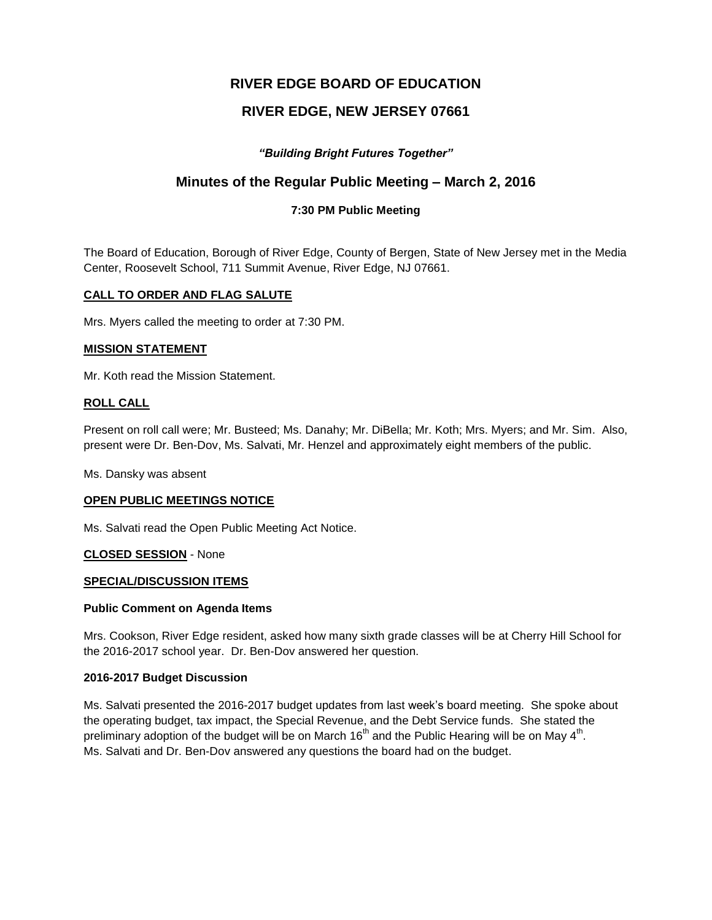# **RIVER EDGE BOARD OF EDUCATION**

# **RIVER EDGE, NEW JERSEY 07661**

## *"Building Bright Futures Together"*

## **Minutes of the Regular Public Meeting – March 2, 2016**

## **7:30 PM Public Meeting**

The Board of Education, Borough of River Edge, County of Bergen, State of New Jersey met in the Media Center, Roosevelt School, 711 Summit Avenue, River Edge, NJ 07661.

### **CALL TO ORDER AND FLAG SALUTE**

Mrs. Myers called the meeting to order at 7:30 PM.

#### **MISSION STATEMENT**

Mr. Koth read the Mission Statement.

#### **ROLL CALL**

Present on roll call were; Mr. Busteed; Ms. Danahy; Mr. DiBella; Mr. Koth; Mrs. Myers; and Mr. Sim. Also, present were Dr. Ben-Dov, Ms. Salvati, Mr. Henzel and approximately eight members of the public.

Ms. Dansky was absent

#### **OPEN PUBLIC MEETINGS NOTICE**

Ms. Salvati read the Open Public Meeting Act Notice.

#### **CLOSED SESSION** - None

#### **SPECIAL/DISCUSSION ITEMS**

#### **Public Comment on Agenda Items**

Mrs. Cookson, River Edge resident, asked how many sixth grade classes will be at Cherry Hill School for the 2016-2017 school year. Dr. Ben-Dov answered her question.

#### **2016-2017 Budget Discussion**

Ms. Salvati presented the 2016-2017 budget updates from last week's board meeting. She spoke about the operating budget, tax impact, the Special Revenue, and the Debt Service funds. She stated the preliminary adoption of the budget will be on March 16<sup>th</sup> and the Public Hearing will be on May 4<sup>th</sup>. Ms. Salvati and Dr. Ben-Dov answered any questions the board had on the budget.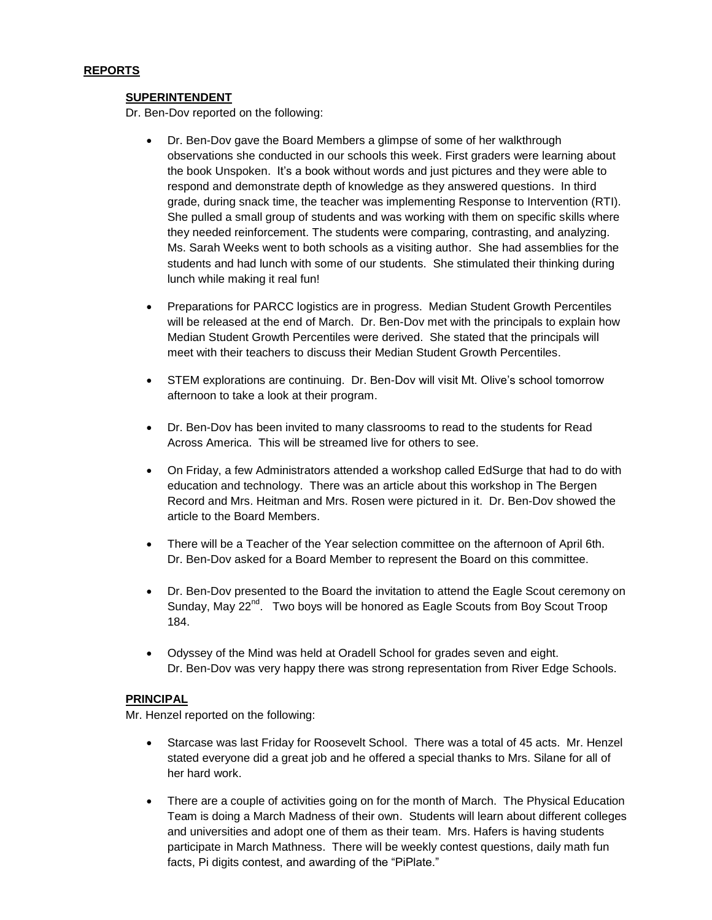### **SUPERINTENDENT**

Dr. Ben-Dov reported on the following:

- Dr. Ben-Dov gave the Board Members a glimpse of some of her walkthrough observations she conducted in our schools this week. First graders were learning about the book Unspoken. It's a book without words and just pictures and they were able to respond and demonstrate depth of knowledge as they answered questions. In third grade, during snack time, the teacher was implementing Response to Intervention (RTI). She pulled a small group of students and was working with them on specific skills where they needed reinforcement. The students were comparing, contrasting, and analyzing. Ms. Sarah Weeks went to both schools as a visiting author. She had assemblies for the students and had lunch with some of our students. She stimulated their thinking during lunch while making it real fun!
- Preparations for PARCC logistics are in progress. Median Student Growth Percentiles will be released at the end of March. Dr. Ben-Dov met with the principals to explain how Median Student Growth Percentiles were derived. She stated that the principals will meet with their teachers to discuss their Median Student Growth Percentiles.
- STEM explorations are continuing. Dr. Ben-Dov will visit Mt. Olive's school tomorrow afternoon to take a look at their program.
- Dr. Ben-Dov has been invited to many classrooms to read to the students for Read Across America. This will be streamed live for others to see.
- On Friday, a few Administrators attended a workshop called EdSurge that had to do with education and technology. There was an article about this workshop in The Bergen Record and Mrs. Heitman and Mrs. Rosen were pictured in it. Dr. Ben-Dov showed the article to the Board Members.
- There will be a Teacher of the Year selection committee on the afternoon of April 6th. Dr. Ben-Dov asked for a Board Member to represent the Board on this committee.
- Dr. Ben-Dov presented to the Board the invitation to attend the Eagle Scout ceremony on Sunday, May 22<sup>nd</sup>. Two boys will be honored as Eagle Scouts from Boy Scout Troop 184.
- Odyssey of the Mind was held at Oradell School for grades seven and eight. Dr. Ben-Dov was very happy there was strong representation from River Edge Schools.

## **PRINCIPAL**

Mr. Henzel reported on the following:

- Starcase was last Friday for Roosevelt School. There was a total of 45 acts. Mr. Henzel stated everyone did a great job and he offered a special thanks to Mrs. Silane for all of her hard work.
- There are a couple of activities going on for the month of March. The Physical Education Team is doing a March Madness of their own. Students will learn about different colleges and universities and adopt one of them as their team. Mrs. Hafers is having students participate in March Mathness. There will be weekly contest questions, daily math fun facts, Pi digits contest, and awarding of the "PiPlate."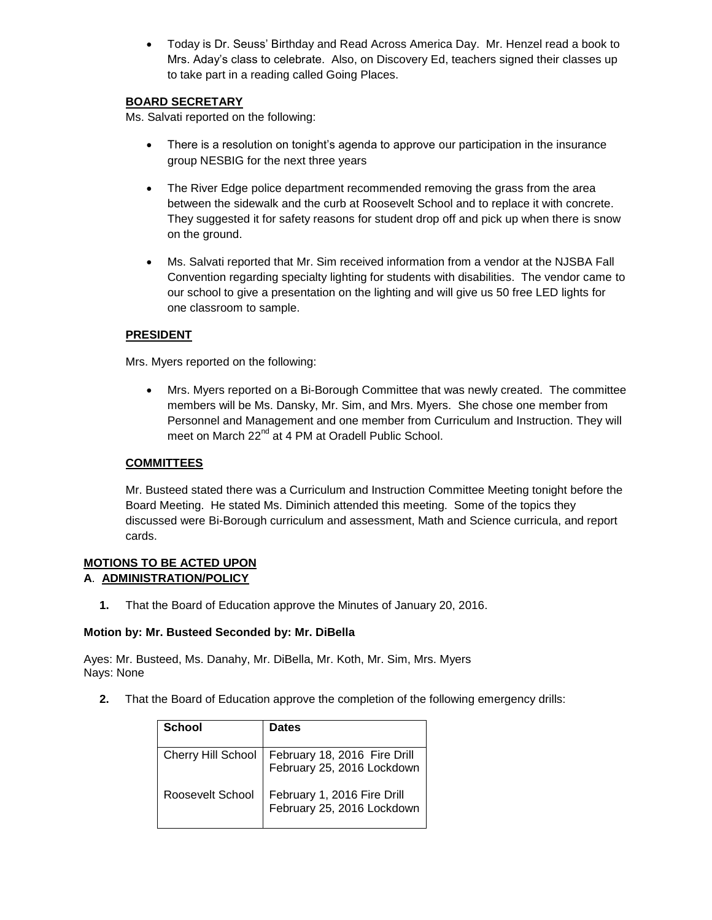Today is Dr. Seuss' Birthday and Read Across America Day. Mr. Henzel read a book to Mrs. Aday's class to celebrate. Also, on Discovery Ed, teachers signed their classes up to take part in a reading called Going Places.

## **BOARD SECRETARY**

Ms. Salvati reported on the following:

- There is a resolution on tonight's agenda to approve our participation in the insurance group NESBIG for the next three years
- The River Edge police department recommended removing the grass from the area between the sidewalk and the curb at Roosevelt School and to replace it with concrete. They suggested it for safety reasons for student drop off and pick up when there is snow on the ground.
- Ms. Salvati reported that Mr. Sim received information from a vendor at the NJSBA Fall Convention regarding specialty lighting for students with disabilities. The vendor came to our school to give a presentation on the lighting and will give us 50 free LED lights for one classroom to sample.

## **PRESIDENT**

Mrs. Myers reported on the following:

 Mrs. Myers reported on a Bi-Borough Committee that was newly created. The committee members will be Ms. Dansky, Mr. Sim, and Mrs. Myers. She chose one member from Personnel and Management and one member from Curriculum and Instruction. They will meet on March 22<sup>nd</sup> at 4 PM at Oradell Public School.

## **COMMITTEES**

Mr. Busteed stated there was a Curriculum and Instruction Committee Meeting tonight before the Board Meeting. He stated Ms. Diminich attended this meeting. Some of the topics they discussed were Bi-Borough curriculum and assessment, Math and Science curricula, and report cards.

#### **MOTIONS TO BE ACTED UPON A**. **ADMINISTRATION/POLICY**

**1.** That the Board of Education approve the Minutes of January 20, 2016.

#### **Motion by: Mr. Busteed Seconded by: Mr. DiBella**

Ayes: Mr. Busteed, Ms. Danahy, Mr. DiBella, Mr. Koth, Mr. Sim, Mrs. Myers Nays: None

**2.** That the Board of Education approve the completion of the following emergency drills:

| <b>School</b>      | <b>Dates</b>                                               |
|--------------------|------------------------------------------------------------|
| Cherry Hill School | February 18, 2016 Fire Drill<br>February 25, 2016 Lockdown |
| Roosevelt School   | February 1, 2016 Fire Drill<br>February 25, 2016 Lockdown  |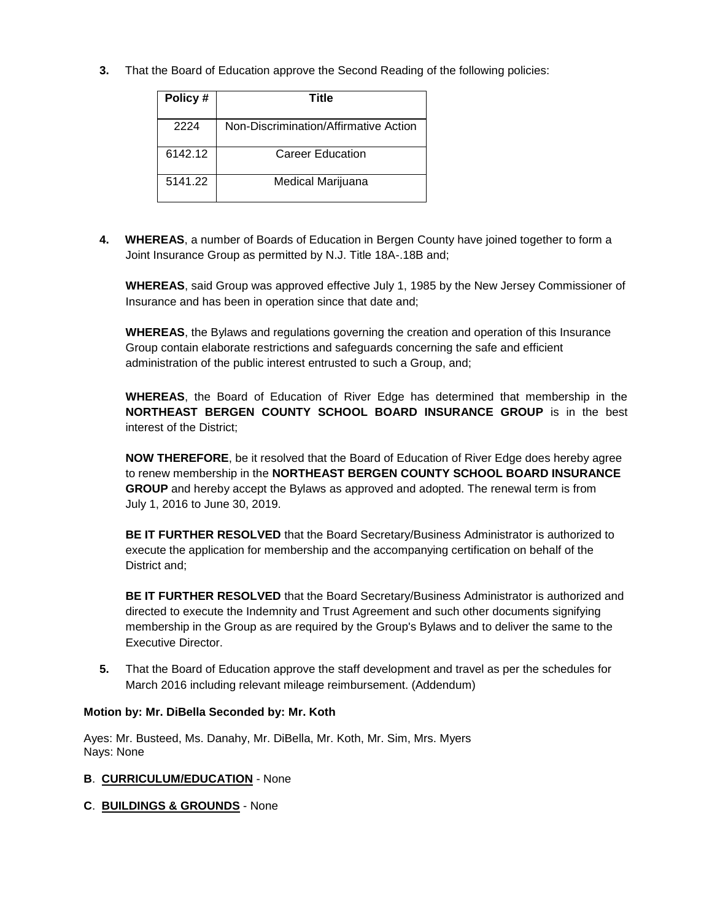**3.** That the Board of Education approve the Second Reading of the following policies:

| Policy # | Title                                 |
|----------|---------------------------------------|
| 2224     | Non-Discrimination/Affirmative Action |
| 6142.12  | Career Education                      |
| 5141.22  | Medical Marijuana                     |

**4. WHEREAS**, a number of Boards of Education in Bergen County have joined together to form a Joint Insurance Group as permitted by N.J. Title 18A-.18B and;

**WHEREAS**, said Group was approved effective July 1, 1985 by the New Jersey Commissioner of Insurance and has been in operation since that date and;

**WHEREAS**, the Bylaws and regulations governing the creation and operation of this Insurance Group contain elaborate restrictions and safeguards concerning the safe and efficient administration of the public interest entrusted to such a Group, and;

**WHEREAS**, the Board of Education of River Edge has determined that membership in the **NORTHEAST BERGEN COUNTY SCHOOL BOARD INSURANCE GROUP** is in the best interest of the District;

**NOW THEREFORE**, be it resolved that the Board of Education of River Edge does hereby agree to renew membership in the **NORTHEAST BERGEN COUNTY SCHOOL BOARD INSURANCE GROUP** and hereby accept the Bylaws as approved and adopted. The renewal term is from July 1, 2016 to June 30, 2019.

**BE IT FURTHER RESOLVED** that the Board Secretary/Business Administrator is authorized to execute the application for membership and the accompanying certification on behalf of the District and;

**BE IT FURTHER RESOLVED** that the Board Secretary/Business Administrator is authorized and directed to execute the Indemnity and Trust Agreement and such other documents signifying membership in the Group as are required by the Group's Bylaws and to deliver the same to the Executive Director.

**5.** That the Board of Education approve the staff development and travel as per the schedules for March 2016 including relevant mileage reimbursement. (Addendum)

## **Motion by: Mr. DiBella Seconded by: Mr. Koth**

Ayes: Mr. Busteed, Ms. Danahy, Mr. DiBella, Mr. Koth, Mr. Sim, Mrs. Myers Nays: None

## **B**. **CURRICULUM/EDUCATION** - None

**C**. **BUILDINGS & GROUNDS** - None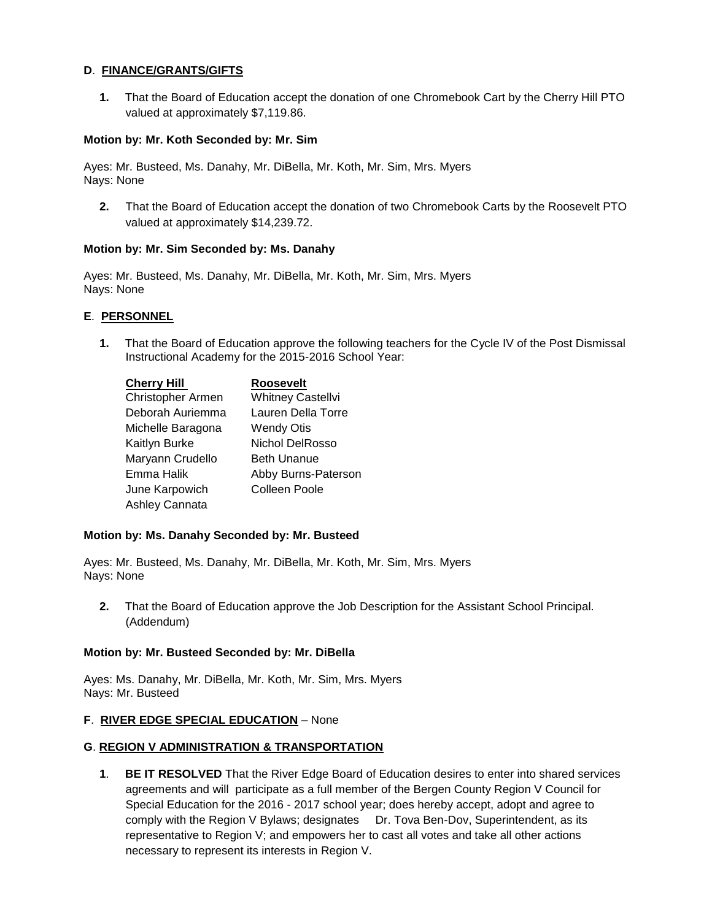## **D**. **FINANCE/GRANTS/GIFTS**

**1.** That the Board of Education accept the donation of one Chromebook Cart by the Cherry Hill PTO valued at approximately \$7,119.86.

#### **Motion by: Mr. Koth Seconded by: Mr. Sim**

Ayes: Mr. Busteed, Ms. Danahy, Mr. DiBella, Mr. Koth, Mr. Sim, Mrs. Myers Nays: None

**2.** That the Board of Education accept the donation of two Chromebook Carts by the Roosevelt PTO valued at approximately \$14,239.72.

### **Motion by: Mr. Sim Seconded by: Ms. Danahy**

Ayes: Mr. Busteed, Ms. Danahy, Mr. DiBella, Mr. Koth, Mr. Sim, Mrs. Myers Nays: None

#### **E**. **PERSONNEL**

**1.** That the Board of Education approve the following teachers for the Cycle IV of the Post Dismissal Instructional Academy for the 2015-2016 School Year:

| <b>Cherry Hill</b> | <b>Roosevelt</b>       |
|--------------------|------------------------|
| Christopher Armen  | Whitney Castellvi      |
| Deborah Auriemma   | Lauren Della Torre     |
| Michelle Baragona  | <b>Wendy Otis</b>      |
| Kaitlyn Burke      | <b>Nichol DelRosso</b> |
| Maryann Crudello   | <b>Beth Unanue</b>     |
| Emma Halik         | Abby Burns-Paterson    |
| June Karpowich     | <b>Colleen Poole</b>   |
| Ashley Cannata     |                        |

#### **Motion by: Ms. Danahy Seconded by: Mr. Busteed**

Ayes: Mr. Busteed, Ms. Danahy, Mr. DiBella, Mr. Koth, Mr. Sim, Mrs. Myers Nays: None

**2.** That the Board of Education approve the Job Description for the Assistant School Principal. (Addendum)

#### **Motion by: Mr. Busteed Seconded by: Mr. DiBella**

Ayes: Ms. Danahy, Mr. DiBella, Mr. Koth, Mr. Sim, Mrs. Myers Nays: Mr. Busteed

#### **F**. **RIVER EDGE SPECIAL EDUCATION** – None

## **G**. **REGION V ADMINISTRATION & TRANSPORTATION**

**1**. **BE IT RESOLVED** That the River Edge Board of Education desires to enter into shared services agreements and will participate as a full member of the Bergen County Region V Council for Special Education for the 2016 - 2017 school year; does hereby accept, adopt and agree to comply with the Region V Bylaws; designates Dr. Tova Ben-Dov, Superintendent, as its representative to Region V; and empowers her to cast all votes and take all other actions necessary to represent its interests in Region V.